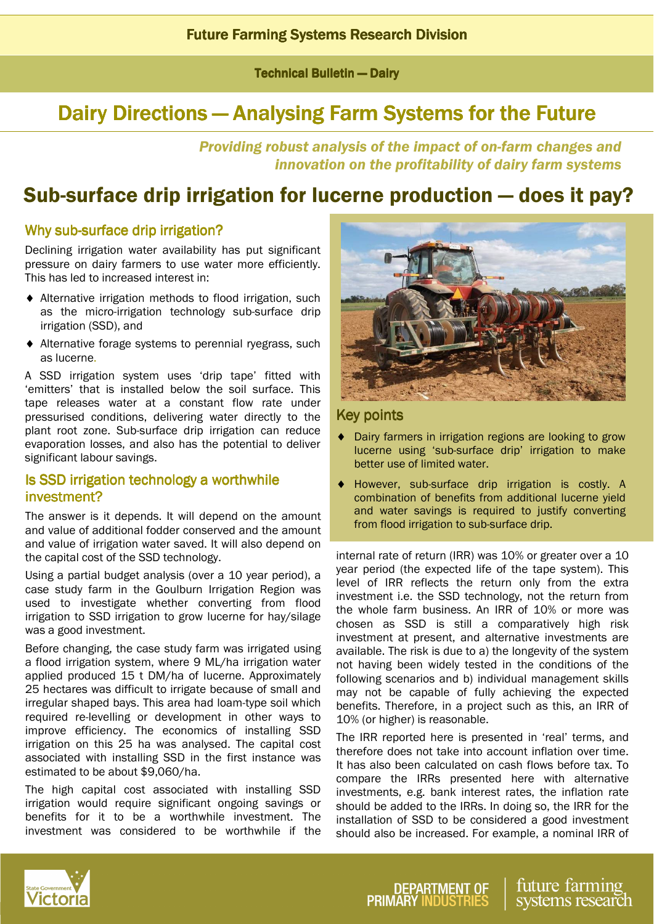**Technical Bulletin — Dairy** 

# Dairy Directions — Analysing Farm Systems for the Future

Providing robust analysis of the impact of on-farm changes and innovation on the profitability of dairy farm systems

# Sub-surface drip irrigation for lucerne production — does it pay?

## Why sub-surface drip irrigation?

Declining irrigation water availability has put significant pressure on dairy farmers to use water more efficiently. This has led to increased interest in:

- ♦ Alternative irrigation methods to flood irrigation, such as the micro-irrigation technology sub-surface drip irrigation (SSD), and
- ♦ Alternative forage systems to perennial ryegrass, such as lucerne.

A SSD irrigation system uses 'drip tape' fitted with 'emitters' that is installed below the soil surface. This tape releases water at a constant flow rate under pressurised conditions, delivering water directly to the plant root zone. Sub-surface drip irrigation can reduce evaporation losses, and also has the potential to deliver significant labour savings.

## Is SSD irrigation technology a worthwhile investment?

The answer is it depends. It will depend on the amount and value of additional fodder conserved and the amount and value of irrigation water saved. It will also depend on the capital cost of the SSD technology.

Using a partial budget analysis (over a 10 year period), a case study farm in the Goulburn Irrigation Region was used to investigate whether converting from flood irrigation to SSD irrigation to grow lucerne for hay/silage was a good investment.

Before changing, the case study farm was irrigated using a flood irrigation system, where 9 ML/ha irrigation water applied produced 15 t DM/ha of lucerne. Approximately 25 hectares was difficult to irrigate because of small and irregular shaped bays. This area had loam-type soil which required re-levelling or development in other ways to improve efficiency. The economics of installing SSD irrigation on this 25 ha was analysed. The capital cost associated with installing SSD in the first instance was estimated to be about \$9,060/ha.

The high capital cost associated with installing SSD irrigation would require significant ongoing savings or benefits for it to be a worthwhile investment. The investment was considered to be worthwhile if the



## **Key points**

- ♦ Dairy farmers in irrigation regions are looking to grow lucerne using 'sub-surface drip' irrigation to make better use of limited water.
- ♦ However, sub-surface drip irrigation is costly. A combination of benefits from additional lucerne yield and water savings is required to justify converting from flood irrigation to sub-surface drip.

internal rate of return (IRR) was 10% or greater over a 10 year period (the expected life of the tape system). This level of IRR reflects the return only from the extra investment i.e. the SSD technology, not the return from the whole farm business. An IRR of 10% or more was chosen as SSD is still a comparatively high risk investment at present, and alternative investments are available. The risk is due to a) the longevity of the system not having been widely tested in the conditions of the following scenarios and b) individual management skills may not be capable of fully achieving the expected benefits. Therefore, in a project such as this, an IRR of 10% (or higher) is reasonable.

The IRR reported here is presented in 'real' terms, and therefore does not take into account inflation over time. It has also been calculated on cash flows before tax. To compare the IRRs presented here with alternative investments, e.g. bank interest rates, the inflation rate should be added to the IRRs. In doing so, the IRR for the installation of SSD to be considered a good investment should also be increased. For example, a nominal IRR of



future farming systems research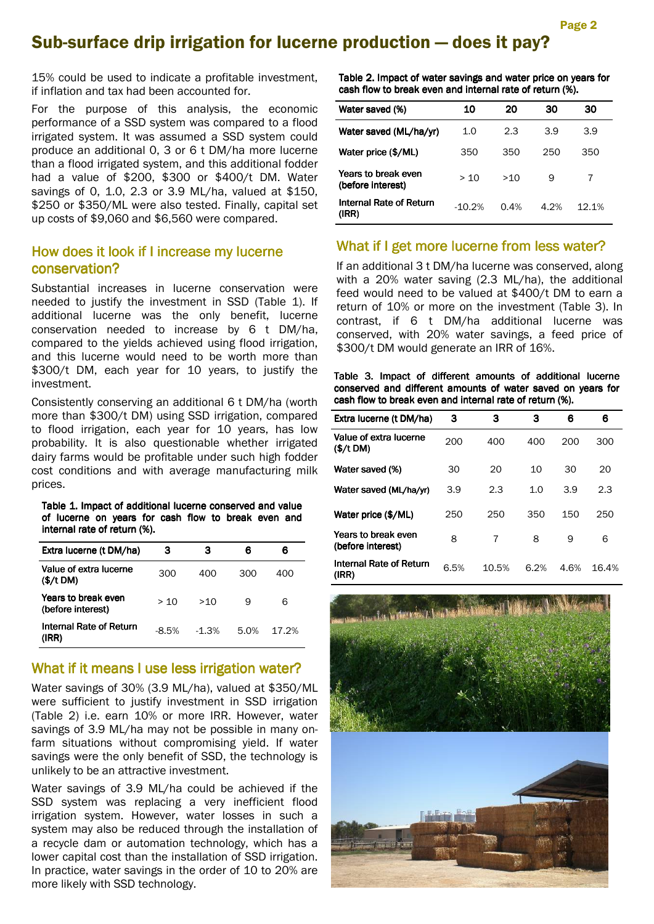## Sub-surface drip irrigation for lucerne production — does it pay?

15% could be used to indicate a profitable investment, if inflation and tax had been accounted for.

For the purpose of this analysis, the economic performance of a SSD system was compared to a flood irrigated system. It was assumed a SSD system could produce an additional 0, 3 or 6 t DM/ha more lucerne than a flood irrigated system, and this additional fodder had a value of \$200, \$300 or \$400/t DM. Water savings of 0, 1.0, 2.3 or 3.9 ML/ha, valued at \$150, \$250 or \$350/ML were also tested. Finally, capital set up costs of \$9,060 and \$6,560 were compared.

## How does it look if I increase my lucerne conservation?

Substantial increases in lucerne conservation were needed to justify the investment in SSD (Table 1). If additional lucerne was the only benefit, lucerne conservation needed to increase by 6 t DM/ha, compared to the yields achieved using flood irrigation, and this lucerne would need to be worth more than \$300/t DM, each year for 10 years, to justify the investment.

Consistently conserving an additional 6 t DM/ha (worth more than \$300/t DM) using SSD irrigation, compared to flood irrigation, each year for 10 years, has low probability. It is also questionable whether irrigated dairy farms would be profitable under such high fodder cost conditions and with average manufacturing milk prices.

Table 1. Impact of additional lucerne conserved and value of lucerne on years for cash flow to break even and internal rate of return (%).

| Extra lucerne (t DM/ha)                  | з       | з       | 6    | 6     |
|------------------------------------------|---------|---------|------|-------|
| Value of extra lucerne                   |         |         |      |       |
| (\$/t DM)                                | 300     | 400     | 300  | 400   |
| Years to break even<br>(before interest) | > 10    | >10     | 9    | 6     |
| Internal Rate of Return<br>(IRR)         | $-8.5%$ | $-1.3%$ | 5.0% | 17.2% |

### What if it means I use less irrigation water?

Water savings of 30% (3.9 ML/ha), valued at \$350/ML were sufficient to justify investment in SSD irrigation (Table 2) i.e. earn 10% or more IRR. However, water savings of 3.9 ML/ha may not be possible in many onfarm situations without compromising yield. If water savings were the only benefit of SSD, the technology is unlikely to be an attractive investment.

Water savings of 3.9 ML/ha could be achieved if the SSD system was replacing a very inefficient flood irrigation system. However, water losses in such a system may also be reduced through the installation of a recycle dam or automation technology, which has a lower capital cost than the installation of SSD irrigation. In practice, water savings in the order of 10 to 20% are more likely with SSD technology.

Table 2. Impact of water savings and water price on years for cash flow to break even and internal rate of return (%).

| Water saved (%)                          | 10       | 20   | 30   | 30    |
|------------------------------------------|----------|------|------|-------|
| Water saved (ML/ha/yr)                   | 1.0      | 2.3  | 3.9  | 3.9   |
| Water price (\$/ML)                      | 350      | 350  | 250  | 350   |
| Years to break even<br>(before interest) | > 10     | >10  | 9    | 7     |
| <b>Internal Rate of Return</b><br>(IRR)  | $-10.2%$ | 0.4% | 4.2% | 12.1% |

### What if I get more lucerne from less water?

If an additional 3 t DM/ha lucerne was conserved, along with a 20% water saving (2.3 ML/ha), the additional feed would need to be valued at \$400/t DM to earn a return of 10% or more on the investment (Table 3). In contrast, if 6 t DM/ha additional lucerne was conserved, with 20% water savings, a feed price of \$300/t DM would generate an IRR of 16%.

Table 3. Impact of different amounts of additional lucerne conserved and different amounts of water saved on years for cash flow to break even and internal rate of return (%).

| Extra lucerne (t DM/ha)                  | з    | 3     | з    | 6    | 6     |
|------------------------------------------|------|-------|------|------|-------|
| Value of extra lucerne<br>(\$/t DM)      | 200  | 400   | 400  | 200  | 300   |
| Water saved (%)                          | 30   | 20    | 10   | 30   | 20    |
| Water saved (ML/ha/yr)                   | 3.9  | 2.3   | 1.0  | 3.9  | 2.3   |
| Water price (\$/ML)                      | 250  | 250   | 350  | 150  | 250   |
| Years to break even<br>(before interest) | 8    | 7     | 8    | 9    | 6     |
| Internal Rate of Return<br>(IRR)         | 6.5% | 10.5% | 6.2% | 4.6% | 16.4% |